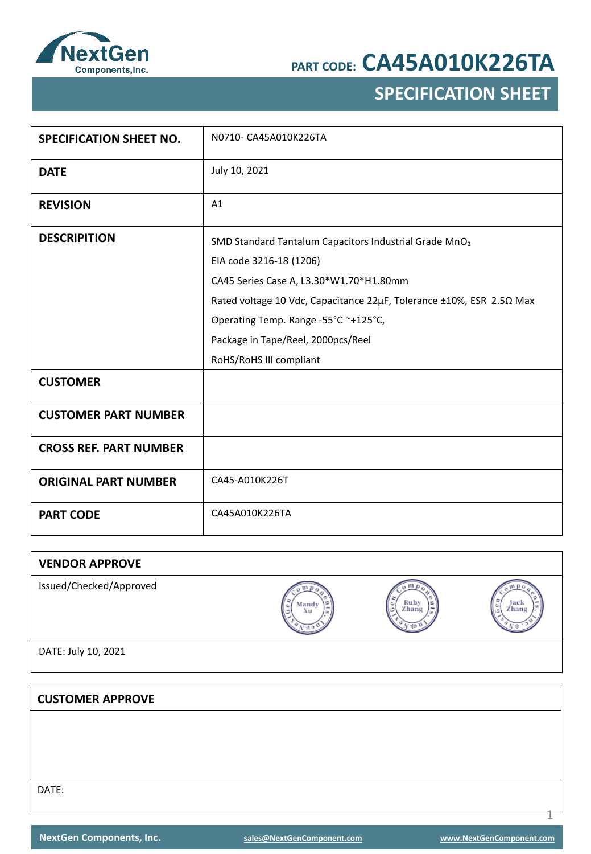

## **SPECIFICATION SHEET**

| <b>SPECIFICATION SHEET NO.</b> | N0710- CA45A010K226TA                                                                                                                                                                                                                                                                                                     |
|--------------------------------|---------------------------------------------------------------------------------------------------------------------------------------------------------------------------------------------------------------------------------------------------------------------------------------------------------------------------|
| <b>DATE</b>                    | July 10, 2021                                                                                                                                                                                                                                                                                                             |
| <b>REVISION</b>                | A1                                                                                                                                                                                                                                                                                                                        |
| <b>DESCRIPITION</b>            | SMD Standard Tantalum Capacitors Industrial Grade MnO <sub>2</sub><br>EIA code 3216-18 (1206)<br>CA45 Series Case A, L3.30*W1.70*H1.80mm<br>Rated voltage 10 Vdc, Capacitance 22µF, Tolerance ±10%, ESR 2.50 Max<br>Operating Temp. Range -55°C ~+125°C,<br>Package in Tape/Reel, 2000pcs/Reel<br>RoHS/RoHS III compliant |
| <b>CUSTOMER</b>                |                                                                                                                                                                                                                                                                                                                           |
| <b>CUSTOMER PART NUMBER</b>    |                                                                                                                                                                                                                                                                                                                           |
| <b>CROSS REF. PART NUMBER</b>  |                                                                                                                                                                                                                                                                                                                           |
| <b>ORIGINAL PART NUMBER</b>    | CA45-A010K226T                                                                                                                                                                                                                                                                                                            |
| <b>PART CODE</b>               | CA45A010K226TA                                                                                                                                                                                                                                                                                                            |

| <b>VENDOR APPROVE</b>   |             |            |                    |
|-------------------------|-------------|------------|--------------------|
| Issued/Checked/Approved | Mandy<br>Xu | Zhang<br>c | Jack<br>Zhang<br>ی |
| DATE: July 10, 2021     |             |            |                    |

**CUSTOMER APPROVE** DATE:

1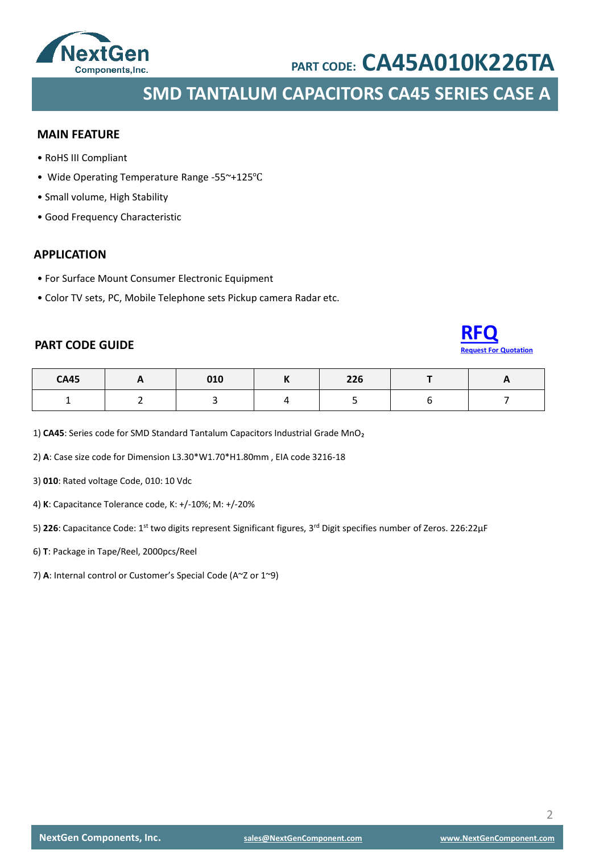

**SMD TANTALUM CAPACITORS CA45 SERIES CASE A**

### **MAIN FEATURE**

- RoHS III Compliant
- Wide Operating Temperature Range -55~+125℃
- Small volume, High Stability
- Good Frequency Characteristic

### **APPLICATION**

- For Surface Mount Consumer Electronic Equipment
- Color TV sets, PC, Mobile Telephone sets Pickup camera Radar etc.

### **PART CODE GUIDE**



| <b>CA45</b> | - - | 010 | 22c<br>770 | - - |
|-------------|-----|-----|------------|-----|
|             |     |     |            |     |

1) CA45: Series code for SMD Standard Tantalum Capacitors Industrial Grade MnO<sub>2</sub>

2) **A**: Case size code for Dimension L3.30\*W1.70\*H1.80mm , EIA code 3216-18

3) **010**: Rated voltage Code, 010: 10 Vdc

4) **K**: Capacitance Tolerance code, K: +/-10%; M: +/-20%

5) **226**: Capacitance Code: 1st two digits represent Significant figures, 3rd Digit specifies number of Zeros. 226:22μF

- 6) **T**: Package in Tape/Reel, 2000pcs/Reel
- 7) **A**: Internal control or Customer's Special Code (A~Z or 1~9)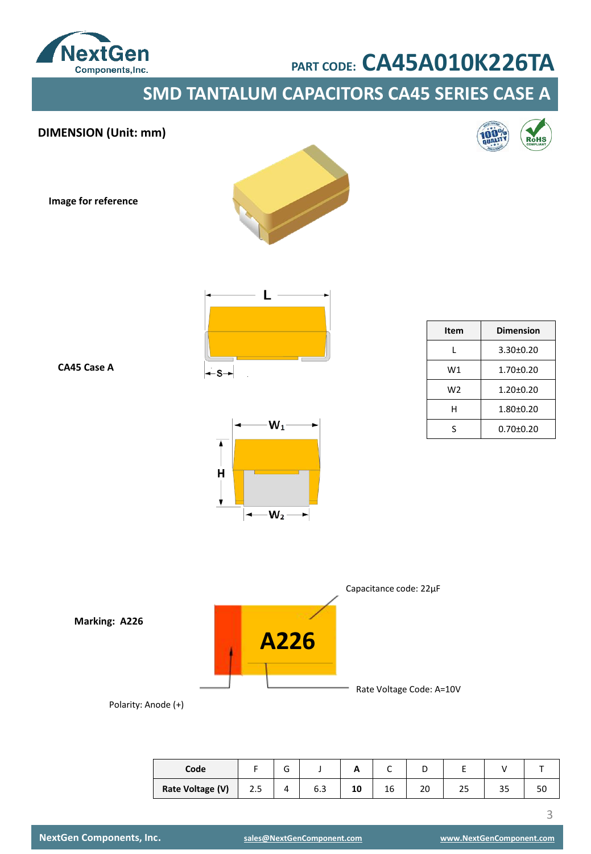

**SMD TANTALUM CAPACITORS CA45 SERIES CASE A**





| Code             |     | ∽<br>u |     | ~  |    | ╺        |    |    |    |
|------------------|-----|--------|-----|----|----|----------|----|----|----|
| Rate Voltage (V) | د.2 | 4      | b.3 | 10 | 16 | nr<br>zu | رے | رر | οu |

**NextGen Components, Inc. [sales@NextGenComponent.com](mailto:sales@NextGenComponent.com) [www.NextGenComponent.com](http://www.nextgencomponent.com/)**

3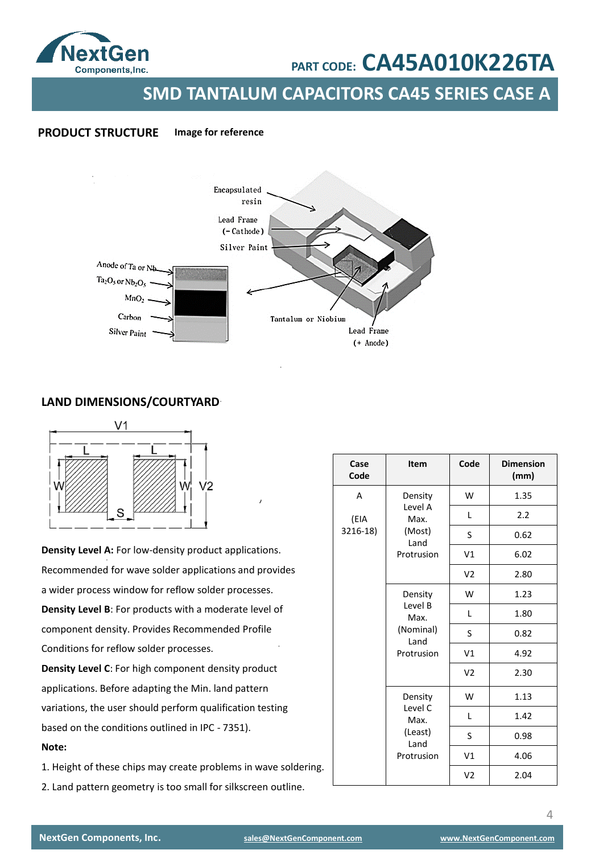

**SMD TANTALUM CAPACITORS CA45 SERIES CASE A**

### **PRODUCT STRUCTURE Image for reference**



### **LAND DIMENSIONS/COURTYARD**



**Density Level A:** For low-density product applications. Recommended for wave solder applications and provides a wider process window for reflow solder processes. **Density Level B**: For products with a moderate level of component density. Provides Recommended Profile Conditions for reflow solder processes. **Density Level C**: For high component density product

applications. Before adapting the Min. land pattern variations, the user should perform qualification testing based on the conditions outlined in IPC - 7351). **Note:** 

1. Height of these chips may create problems in wave soldering.

2. Land pattern geometry is too small for silkscreen outline.

| Case<br>Code | Item                              | Code           | <b>Dimension</b><br>(mm) |
|--------------|-----------------------------------|----------------|--------------------------|
| A            | Density                           | W              | 1.35                     |
| (EIA         | Level A<br>Max.<br>(Most)<br>Land | L              | 2.2                      |
| 3216-18)     |                                   | S              | 0.62                     |
|              | Protrusion                        | V1             | 6.02                     |
|              |                                   | V <sub>2</sub> | 2.80                     |
|              | Density                           | W              | 1.23                     |
|              | Level B<br>Max.                   | Г              | 1.80                     |
|              | (Nominal)<br>Land                 | S              | 0.82                     |
|              | Protrusion                        | V1             | 4.92                     |
|              |                                   | V <sub>2</sub> | 2.30                     |
|              | Density                           | W              | 1.13                     |
|              | Level C<br>Max.                   | L              | 1.42                     |
|              | (Least)<br>Land                   | S              | 0.98                     |
|              | Protrusion                        | V1             | 4.06                     |
|              |                                   | V <sub>2</sub> | 2.04                     |

4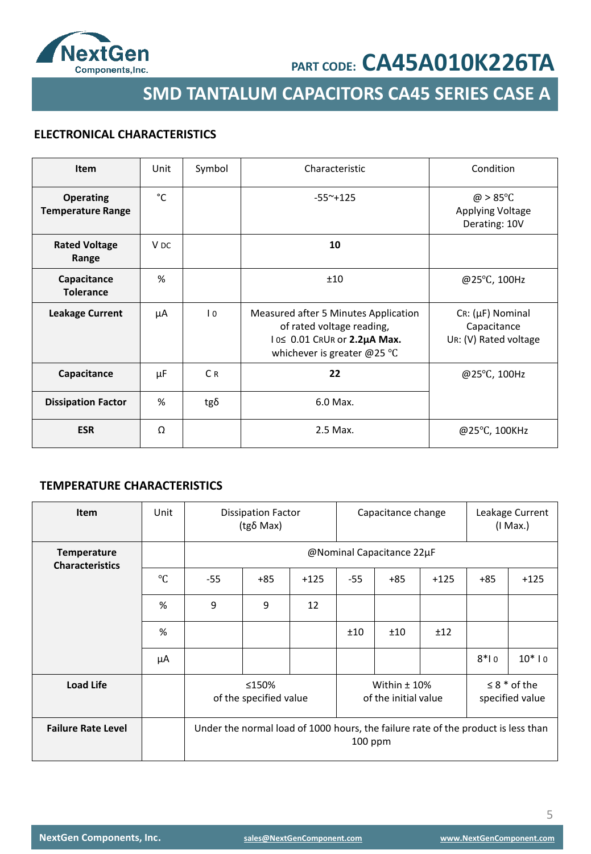

**SMD TANTALUM CAPACITORS CA45 SERIES CASE A**

### **ELECTRONICAL CHARACTERISTICS**

| Item                                         | Unit            | Symbol         | Characteristic                                                                                                                            | Condition                                                           |
|----------------------------------------------|-----------------|----------------|-------------------------------------------------------------------------------------------------------------------------------------------|---------------------------------------------------------------------|
| <b>Operating</b><br><b>Temperature Range</b> | °C              |                | $-55^{\sim}+125$                                                                                                                          | $\omega > 85^{\circ}$ C<br><b>Applying Voltage</b><br>Derating: 10V |
| <b>Rated Voltage</b><br>Range                | V <sub>DC</sub> |                | 10                                                                                                                                        |                                                                     |
| Capacitance<br><b>Tolerance</b>              | %               |                | ±10                                                                                                                                       | @25°C, 100Hz                                                        |
| <b>Leakage Current</b>                       | μA              | $\overline{0}$ | Measured after 5 Minutes Application<br>of rated voltage reading,<br>10≤ 0.01 CRUR or 2.2µA Max.<br>whichever is greater @25 $^{\circ}$ C | $Cr: (\mu F)$ Nominal<br>Capacitance<br>UR: (V) Rated voltage       |
| Capacitance                                  | μF              | C <sub>R</sub> | 22                                                                                                                                        | @25°C, 100Hz                                                        |
| <b>Dissipation Factor</b>                    | %               | $tg\delta$     | 6.0 Max.                                                                                                                                  |                                                                     |
| <b>ESR</b>                                   | Ω               |                | 2.5 Max.                                                                                                                                  | @25°C, 100KHz                                                       |

### **TEMPERATURE CHARACTERISTICS**

| <b>Item</b>                                  | Unit      | <b>Dissipation Factor</b><br>(tgδ Max) |                                                                                              |        | Capacitance change                     |                           |        |        | Leakage Current<br>$(1$ Max.)          |
|----------------------------------------------|-----------|----------------------------------------|----------------------------------------------------------------------------------------------|--------|----------------------------------------|---------------------------|--------|--------|----------------------------------------|
| <b>Temperature</b><br><b>Characteristics</b> |           |                                        |                                                                                              |        |                                        | @Nominal Capacitance 22µF |        |        |                                        |
|                                              | $\circ$ C | $-55$                                  | $+85$                                                                                        | $+125$ | $-55$                                  | $+85$                     | $+125$ | $+85$  | $+125$                                 |
|                                              | %         | 9                                      | 9                                                                                            | 12     |                                        |                           |        |        |                                        |
|                                              | %         |                                        |                                                                                              |        | ±10                                    | ±10                       | ±12    |        |                                        |
|                                              | μA        |                                        |                                                                                              |        |                                        |                           |        | $8*10$ | $10*10$                                |
| <b>Load Life</b>                             |           | ≤150%<br>of the specified value        |                                                                                              |        | Within $±$ 10%<br>of the initial value |                           |        |        | $\leq$ 8 $*$ of the<br>specified value |
| <b>Failure Rate Level</b>                    |           |                                        | Under the normal load of 1000 hours, the failure rate of the product is less than<br>100 ppm |        |                                        |                           |        |        |                                        |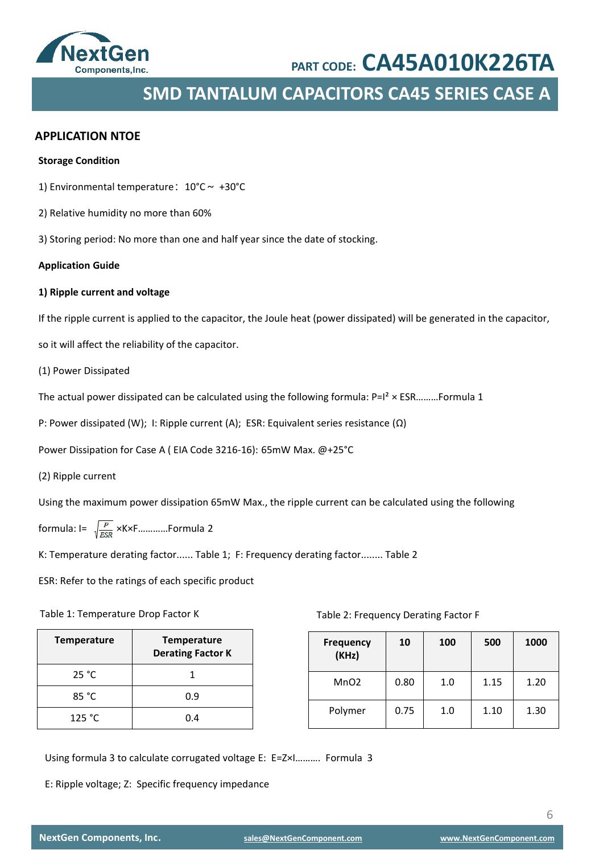

## **SMD TANTALUM CAPACITORS CA45 SERIES CASE A**

### **APPLICATION NTOE**

#### **Storage Condition**

1) Environmental temperature:  $10^{\circ}$ C ~ +30°C

- 2) Relative humidity no more than 60%
- 3) Storing period: No more than one and half year since the date of stocking.

### **Application Guide**

### **1) Ripple current and voltage**

If the ripple current is applied to the capacitor, the Joule heat (power dissipated) will be generated in the capacitor,

so it will affect the reliability of the capacitor.

(1) Power Dissipated

The actual power dissipated can be calculated using the following formula:  $P=I^2 \times ESR$ ………Formula 1

P: Power dissipated (W); I: Ripple current (A); ESR: Equivalent series resistance (Ω)

Power Dissipation for Case A ( EIA Code 3216-16): 65mW Max. @+25°C

(2) Ripple current

Using the maximum power dissipation 65mW Max., the ripple current can be calculated using the following

formula:  $I = \sqrt{\frac{P}{ESR}}$  ×K×F............Formula 2

K: Temperature derating factor...... Table 1; F: Frequency derating factor........ Table 2

ESR: Refer to the ratings of each specific product

#### Table 1: Temperature Drop Factor K

| <b>Temperature</b> | <b>Temperature</b><br><b>Derating Factor K</b> |
|--------------------|------------------------------------------------|
| 25 °C              |                                                |
| 85 °C              | 0.9                                            |
| 125 °C             | በ 4                                            |

Table 2: Frequency Derating Factor F

| <b>Frequency</b><br>(KHz) | 10   | 100 | 500  | 1000 |
|---------------------------|------|-----|------|------|
| MnO <sub>2</sub>          | 0.80 | 1.0 | 1.15 | 1.20 |
| Polymer                   | 0.75 | 1.0 | 1.10 | 1.30 |

Using formula 3 to calculate corrugated voltage E: E=Z×I………. Formula 3

E: Ripple voltage; Z: Specific frequency impedance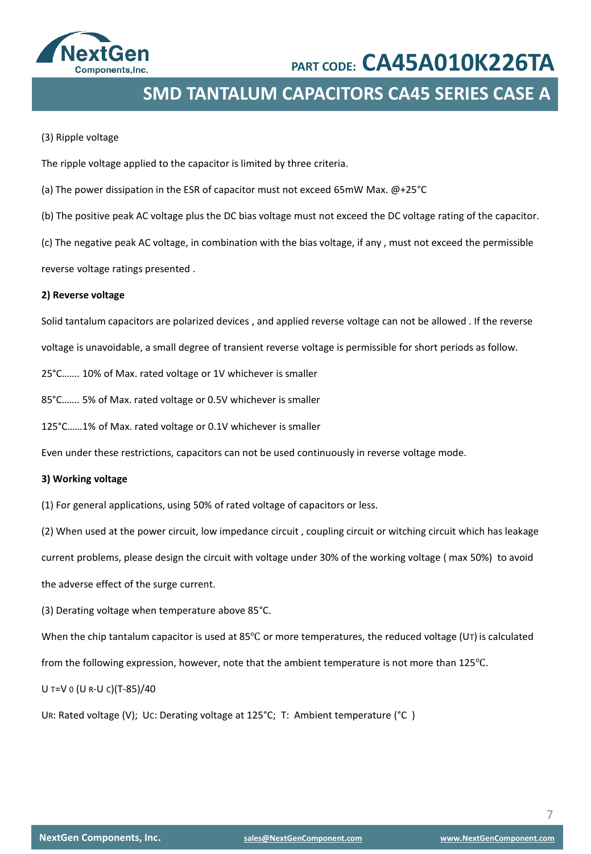

## **SMD TANTALUM CAPACITORS CA45 SERIES CASE A**

#### (3) Ripple voltage

The ripple voltage applied to the capacitor is limited by three criteria.

- (a) The power dissipation in the ESR of capacitor must not exceed 65mW Max. @+25°C
- (b) The positive peak AC voltage plus the DC bias voltage must not exceed the DC voltage rating of the capacitor.

(c) The negative peak AC voltage, in combination with the bias voltage, if any , must not exceed the permissible

reverse voltage ratings presented .

### **2) Reverse voltage**

Solid tantalum capacitors are polarized devices , and applied reverse voltage can not be allowed . If the reverse

voltage is unavoidable, a small degree of transient reverse voltage is permissible for short periods as follow.

25°C……. 10% of Max. rated voltage or 1V whichever is smaller

85°C……. 5% of Max. rated voltage or 0.5V whichever is smaller

125°C……1% of Max. rated voltage or 0.1V whichever is smaller

Even under these restrictions, capacitors can not be used continuously in reverse voltage mode.

#### **3) Working voltage**

(1) For general applications, using 50% of rated voltage of capacitors or less.

(2) When used at the power circuit, low impedance circuit , coupling circuit or witching circuit which has leakage current problems, please design the circuit with voltage under 30% of the working voltage ( max 50%) to avoid

the adverse effect of the surge current.

(3) Derating voltage when temperature above 85°C.

When the chip tantalum capacitor is used at 85<sup>°</sup>C or more temperatures, the reduced voltage (UT) is calculated

from the following expression, however, note that the ambient temperature is not more than 125℃.

U T=V 0 (U R-U C)(T-85)/40

UR: Rated voltage (V); UC: Derating voltage at 125°C; T: Ambient temperature (°C )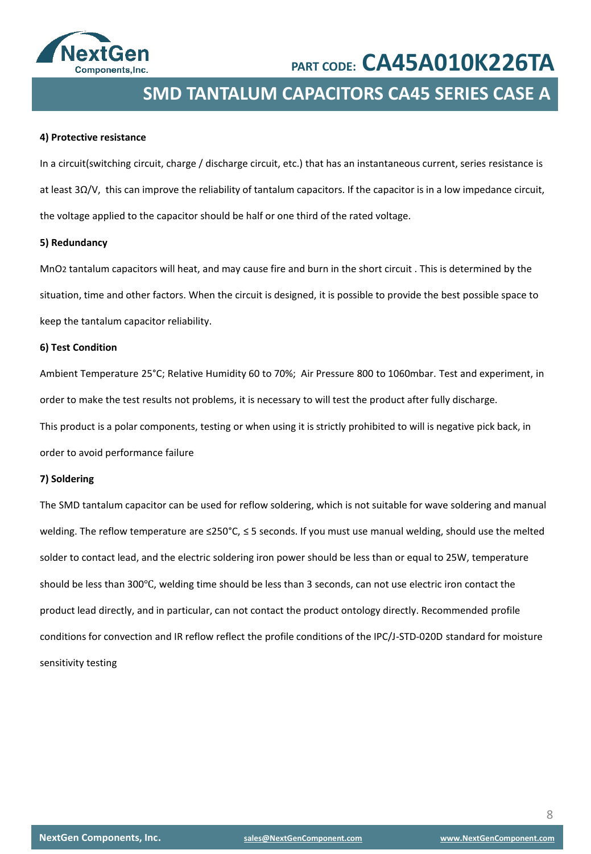

## **SMD TANTALUM CAPACITORS CA45 SERIES CASE A**

### **4) Protective resistance**

In a circuit(switching circuit, charge / discharge circuit, etc.) that has an instantaneous current, series resistance is at least 3Ω/V, this can improve the reliability of tantalum capacitors. If the capacitor is in a low impedance circuit, the voltage applied to the capacitor should be half or one third of the rated voltage.

### **5) Redundancy**

MnO2 tantalum capacitors will heat, and may cause fire and burn in the short circuit . This is determined by the situation, time and other factors. When the circuit is designed, it is possible to provide the best possible space to keep the tantalum capacitor reliability.

### **6) Test Condition**

Ambient Temperature 25°C; Relative Humidity 60 to 70%; Air Pressure 800 to 1060mbar. Test and experiment, in order to make the test results not problems, it is necessary to will test the product after fully discharge. This product is a polar components, testing or when using it is strictly prohibited to will is negative pick back, in order to avoid performance failure

### **7) Soldering**

The SMD tantalum capacitor can be used for reflow soldering, which is not suitable for wave soldering and manual welding. The reflow temperature are ≤250°C, ≤ 5 seconds. If you must use manual welding, should use the melted solder to contact lead, and the electric soldering iron power should be less than or equal to 25W, temperature should be less than 300℃, welding time should be less than 3 seconds, can not use electric iron contact the product lead directly, and in particular, can not contact the product ontology directly. Recommended profile conditions for convection and IR reflow reflect the profile conditions of the IPC/J-STD-020D standard for moisture sensitivity testing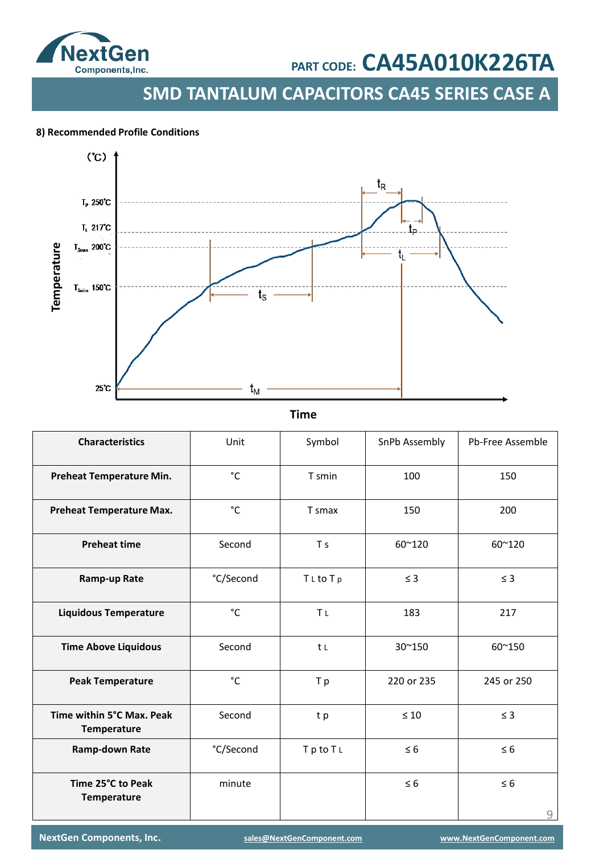

**SMD TANTALUM CAPACITORS CA45 SERIES CASE A**

### . **8) Recommended Profile Conditions**



**Time**

| <b>Characteristics</b>                   | Unit         | Symbol         | SnPb Assembly | Pb-Free Assemble |
|------------------------------------------|--------------|----------------|---------------|------------------|
| Preheat Temperature Min.                 | °C           | T smin         | 100           | 150              |
| <b>Preheat Temperature Max.</b>          | °C           | T smax         | 150           | 200              |
| <b>Preheat time</b>                      | Second       | T <sub>S</sub> | 60~120        | 60~120           |
| Ramp-up Rate                             | °C/Second    | TLtoTp         | $\leq$ 3      | $\leq$ 3         |
| <b>Liquidous Temperature</b>             | °C           | <b>ΤL</b>      | 183           | 217              |
| <b>Time Above Liquidous</b>              | Second       | t L            | 30~150        | 60~150           |
| <b>Peak Temperature</b>                  | $^{\circ}$ C | T p            | 220 or 235    | 245 or 250       |
| Time within 5°C Max. Peak<br>Temperature | Second       | tp             | $\leq 10$     | $\leq$ 3         |
| <b>Ramp-down Rate</b>                    | °C/Second    | TptoTL         | $\leq 6$      | $\leq 6$         |
| Time 25°C to Peak<br>Temperature         | minute       |                | $\leq 6$      | $\leq 6$<br>9    |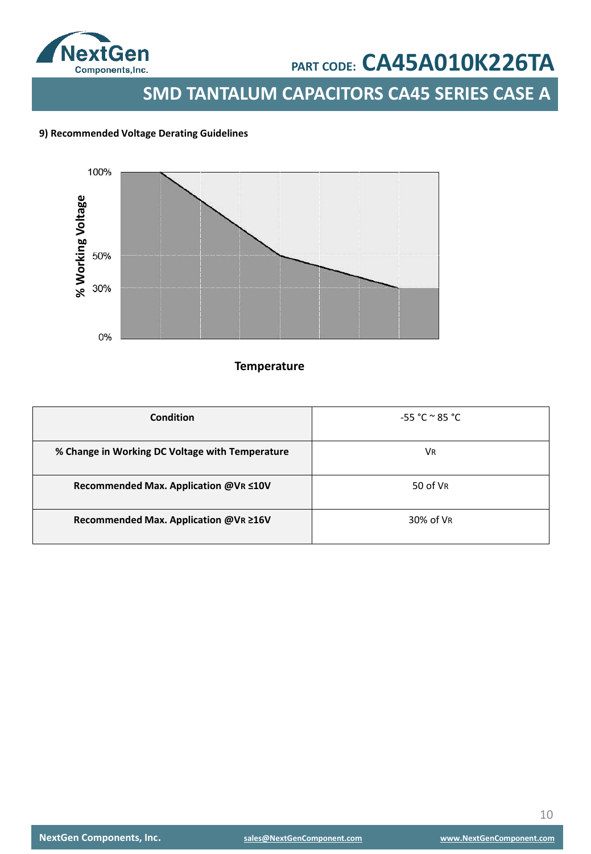

**SMD TANTALUM CAPACITORS CA45 SERIES CASE A**

### **9) Recommended Voltage Derating Guidelines**



## **Temperature**

| Condition                                       | $-55 °C ° 85 °C$ |
|-------------------------------------------------|------------------|
| % Change in Working DC Voltage with Temperature | VR               |
| Recommended Max. Application @VR ≤10V           | 50 of VR         |
| Recommended Max. Application @VR ≥16V           | 30% of VR        |